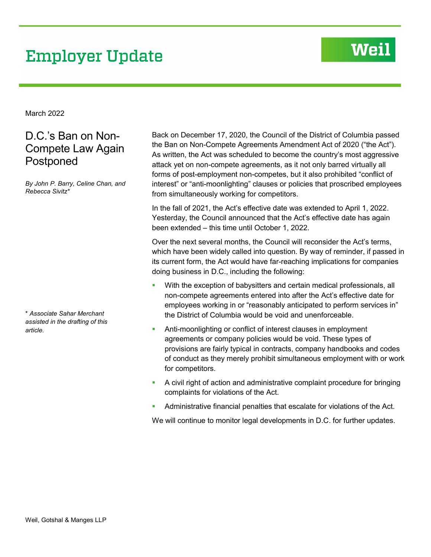# **Employer Update**

## Weil

March 2022

## D.C.'s Ban on Non-Compete Law Again Postponed

*By John P. Barry, Celine Chan, and Rebecca Sivitz\**

\* *Associate Sahar Merchant assisted in the drafting of this article.*

Back on December 17, 2020, the Council of the District of Columbia passed the Ban on Non-Compete Agreements Amendment Act of 2020 ("the Act"). As written, the Act was scheduled to become the country's most aggressive attack yet on non-compete agreements, as it not only barred virtually all forms of post-employment non-competes, but it also prohibited "conflict of interest" or "anti-moonlighting" clauses or policies that proscribed employees from simultaneously working for competitors.

In the fall of 2021, the Act's effective date was extended to April 1, 2022. Yesterday, the Council announced that the Act's effective date has again been extended – this time until October 1, 2022.

Over the next several months, the Council will reconsider the Act's terms, which have been widely called into question. By way of reminder, if passed in its current form, the Act would have far-reaching implications for companies doing business in D.C., including the following:

- With the exception of babysitters and certain medical professionals, all non-compete agreements entered into after the Act's effective date for employees working in or "reasonably anticipated to perform services in" the District of Columbia would be void and unenforceable.
- Anti-moonlighting or conflict of interest clauses in employment agreements or company policies would be void. These types of provisions are fairly typical in contracts, company handbooks and codes of conduct as they merely prohibit simultaneous employment with or work for competitors.
- A civil right of action and administrative complaint procedure for bringing complaints for violations of the Act.
- Administrative financial penalties that escalate for violations of the Act.

We will continue to monitor legal developments in D.C. for further updates.